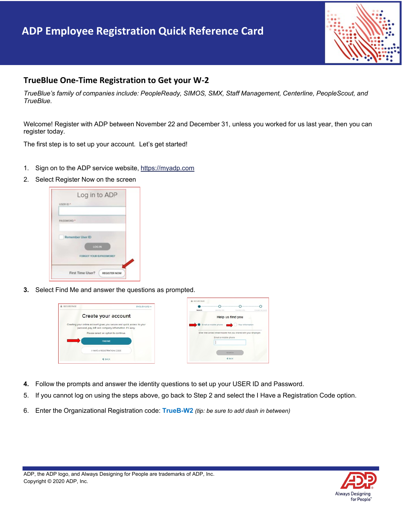## **ADP Employee Registration Quick Reference Card**



## **TrueBlue One-Time Registration to Get your W-2**

 *TrueBlue's family of companies include: PeopleReady, SIMOS, SMX, Staff Management, Centerline, PeopleScout, and TrueBlue.* 

 Welcome! Register with ADP between November 22 and December 31, unless you worked for us last year, then you can register today.

The first step is to set up your account*.* Let's get started!

- 1. Sign on to the ADP service website,<https://myadp.com>
- 2. Select Register Now on the screen

|                 | Log in to ADP           |
|-----------------|-------------------------|
| <b>USER ID*</b> |                         |
|                 |                         |
| PASSWORD *      |                         |
|                 |                         |
|                 | Remember User ID        |
|                 | <b>LOG IN</b>           |
|                 | FORGOT YOUR EVPASSWORD? |
|                 |                         |
|                 | First Time User?        |

**3.** Select Find Me and answer the questions as prompted.



- **4.** Follow the prompts and answer the identity questions to set up your USER ID and Password.
- 5. If you cannot log on using the steps above, go back to Step 2 and select the I Have a Registration Code option.
- 6. Enter the Organizational Registration code: **TrueB-W2** *(tip: be sure to add dash in between)*